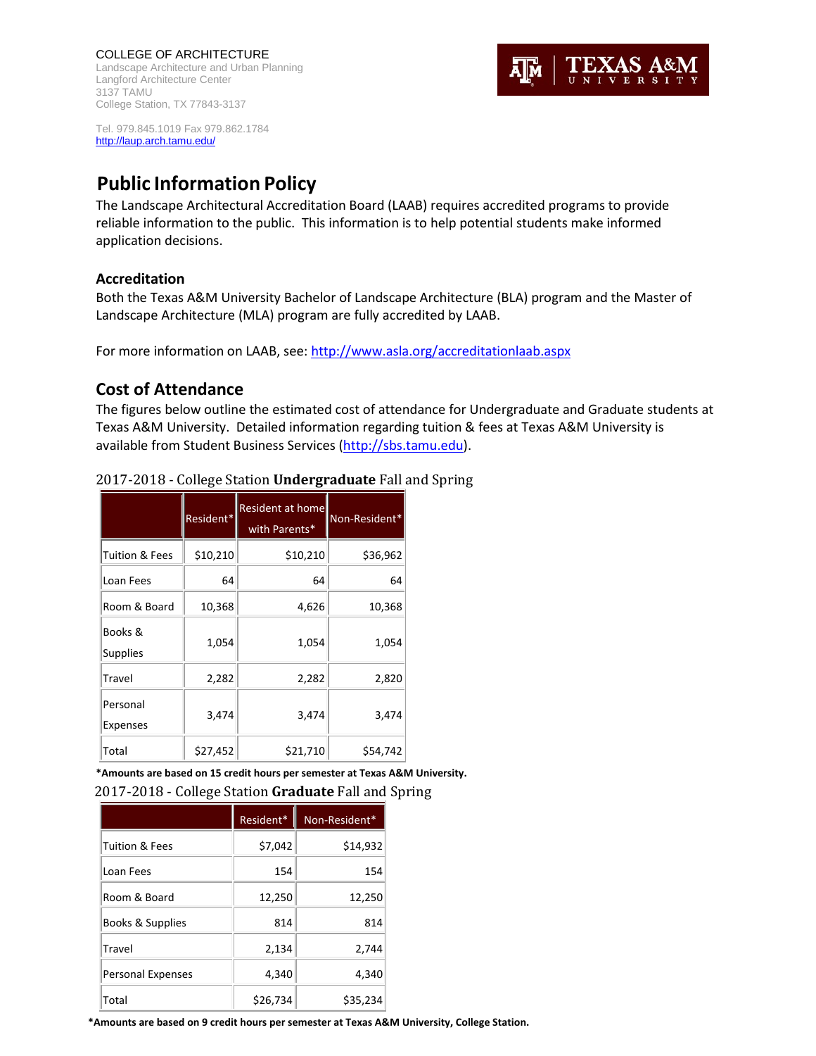COLLEGE OF ARCHITECTURE Landscape Architecture and Urban Planning Langford Architecture Center 3137 TAMU College Station, TX 77843-3137



Tel. 979.845.1019 Fax 979.862.1784 http://laup.arch.tamu.edu/

# **Public Information Policy**

The Landscape Architectural Accreditation Board (LAAB) requires accredited programs to provide reliable information to the public. This information is to help potential students make informed application decisions.

#### **Accreditation**

Both the Texas A&M University Bachelor of Landscape Architecture (BLA) program and the Master of Landscape Architecture (MLA) program are fully accredited by LAAB.

For more information on LAAB, see: http://www.asla.org/accreditationlaab.aspx

# **Cost of Attendance**

The figures below outline the estimated cost of attendance for Undergraduate and Graduate students at Texas A&M University. Detailed information regarding tuition & fees at Texas A&M University is available from Student Business Services (http://sbs.tamu.edu).

|                           | Resident* | Resident at homel<br>with Parents* | Non-Resident* |
|---------------------------|-----------|------------------------------------|---------------|
| <b>Tuition &amp; Fees</b> | \$10,210  | \$10,210                           | \$36,962      |
| Loan Fees                 | 64        | 64                                 | 64            |
| Room & Board              | 10,368    | 4,626                              | 10,368        |
| Books &<br>Supplies       | 1,054     | 1,054                              | 1,054         |
| Travel                    | 2,282     | 2,282                              | 2,820         |
| Personal<br>Expenses      | 3,474     | 3,474                              | 3,474         |
| Total                     | \$27,452  | \$21,710                           | \$54,742      |

#### 2017-2018 - College Station **Undergraduate** Fall and Spring

**\*Amounts are based on 15 credit hours per semester at Texas A&M University.**

2017‐2018 ‐ College Station **Graduate** Fall and Spring 

|                          | Resident* | Non-Resident* |
|--------------------------|-----------|---------------|
| Tuition & Fees           | \$7,042   | \$14,932      |
| Loan Fees                | 154       | 154           |
| Room & Board             | 12,250    | 12,250        |
| Books & Supplies         | 814       | 814           |
| Travel                   | 2,134     | 2,744         |
| <b>Personal Expenses</b> | 4,340     | 4,340         |
| Total                    | \$26,734  | \$35,234      |

**\*Amounts are based on 9 credit hours per semester at Texas A&M University, College Station.**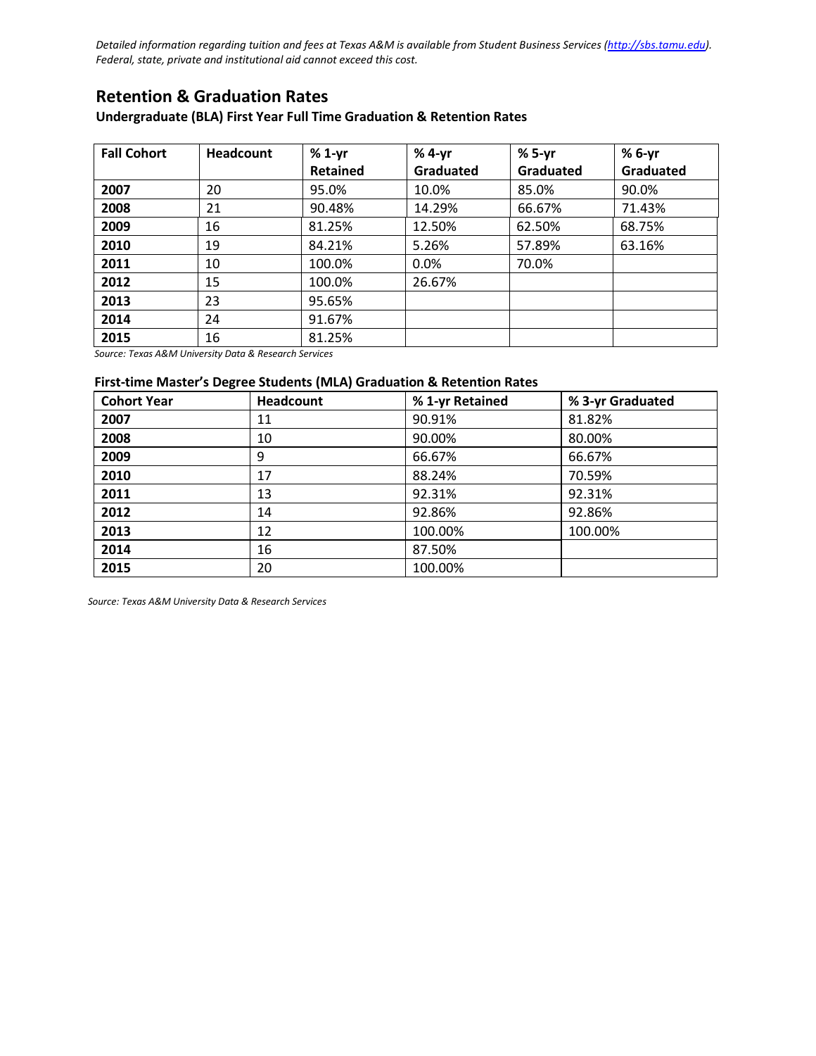Detailed information regarding tuition and fees at Texas A&M is available from Student Business Services (http://sbs.tamu.edu). *Federal, state, private and institutional aid cannot exceed this cost.*

# **Retention & Graduation Rates**

#### **Undergraduate (BLA) First Year Full Time Graduation & Retention Rates**

| <b>Fall Cohort</b> | <b>Headcount</b> | $%1-yr$  | % 4-yr    | $%5-yr$   | % 6-yr    |
|--------------------|------------------|----------|-----------|-----------|-----------|
|                    |                  | Retained | Graduated | Graduated | Graduated |
| 2007               | 20               | 95.0%    | 10.0%     | 85.0%     | 90.0%     |
| 2008               | 21               | 90.48%   | 14.29%    | 66.67%    | 71.43%    |
| 2009               | 16               | 81.25%   | 12.50%    | 62.50%    | 68.75%    |
| 2010               | 19               | 84.21%   | 5.26%     | 57.89%    | 63.16%    |
| 2011               | 10               | 100.0%   | 0.0%      | 70.0%     |           |
| 2012               | 15               | 100.0%   | 26.67%    |           |           |
| 2013               | 23               | 95.65%   |           |           |           |
| 2014               | 24               | 91.67%   |           |           |           |
| 2015               | 16               | 81.25%   |           |           |           |

*Source: Texas A&M University Data & Research Services*

#### **First‐time Master's Degree Students (MLA) Graduation & Retention Rates**

| <b>Cohort Year</b> | Headcount | % 1-yr Retained | % 3-yr Graduated |
|--------------------|-----------|-----------------|------------------|
| 2007               | 11        | 90.91%          | 81.82%           |
| 2008               | 10        | 90.00%          | 80.00%           |
| 2009               | 9         | 66.67%          | 66.67%           |
| 2010               | 17        | 88.24%          | 70.59%           |
| 2011               | 13        | 92.31%          | 92.31%           |
| 2012               | 14        | 92.86%          | 92.86%           |
| 2013               | 12        | 100.00%         | 100.00%          |
| 2014               | 16        | 87.50%          |                  |
| 2015               | 20        | 100.00%         |                  |

*Source: Texas A&M University Data & Research Services*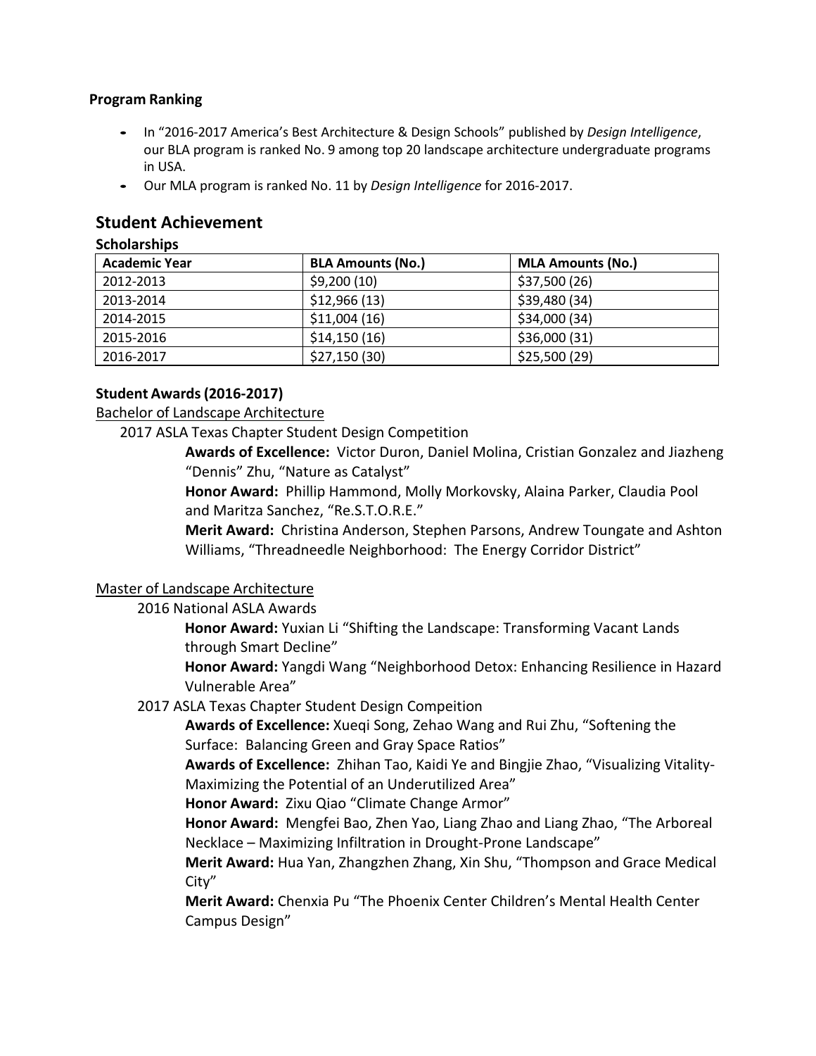#### **Program Ranking**

- **•** In "2016‐<sup>2017</sup> America's Best Architecture & Design Schools" published by *Design Intelligence*, our BLA program is ranked No. 9 among top 20 landscape architecture undergraduate programs in USA.
- **•** Our MLA program is ranked No. <sup>11</sup> by *Design Intelligence* for <sup>2016</sup>‐2017.

# **Student Achievement**

#### **Scholarships**

| <b>Academic Year</b> | <b>BLA Amounts (No.)</b> | <b>MLA Amounts (No.)</b> |
|----------------------|--------------------------|--------------------------|
| 2012-2013            | \$9,200(10)              | \$37,500 (26)            |
| 2013-2014            | \$12,966(13)             | \$39,480 (34)            |
| 2014-2015            | \$11,004(16)             | \$34,000 (34)            |
| 2015-2016            | \$14,150(16)             | \$36,000 (31)            |
| 2016-2017            | \$27,150(30)             | \$25,500 (29)            |

## **Student Awards(2016‐2017)**

## Bachelor of Landscape Architecture

2017 ASLA Texas Chapter Student Design Competition

 **Awards of Excellence:** Victor Duron, Daniel Molina, Cristian Gonzalez and Jiazheng "Dennis" Zhu, "Nature as Catalyst"

**Honor Award:** Phillip Hammond, Molly Morkovsky, Alaina Parker, Claudia Pool and Maritza Sanchez, "Re.S.T.O.R.E."

 **Merit Award:** Christina Anderson, Stephen Parsons, Andrew Toungate and Ashton Williams, "Threadneedle Neighborhood: The Energy Corridor District"

#### Master of Landscape Architecture

#### 2016 National ASLA Awards

**Honor Award:** Yuxian Li "Shifting the Landscape: Transforming Vacant Lands through Smart Decline"

**Honor Award:** Yangdi Wang "Neighborhood Detox: Enhancing Resilience in Hazard Vulnerable Area"

#### 2017 ASLA Texas Chapter Student Design Compeition

**Awards of Excellence:** Xueqi Song, Zehao Wang and Rui Zhu, "Softening the Surface: Balancing Green and Gray Space Ratios"

**Awards of Excellence:** Zhihan Tao, Kaidi Ye and Bingjie Zhao, "Visualizing Vitality‐ Maximizing the Potential of an Underutilized Area"

**Honor Award:** Zixu Qiao "Climate Change Armor"

**Honor Award:** Mengfei Bao, Zhen Yao, Liang Zhao and Liang Zhao, "The Arboreal Necklace – Maximizing Infiltration in Drought‐Prone Landscape"

**Merit Award:** Hua Yan, Zhangzhen Zhang, Xin Shu, "Thompson and Grace Medical City"

**Merit Award:** Chenxia Pu "The Phoenix Center Children's Mental Health Center Campus Design"